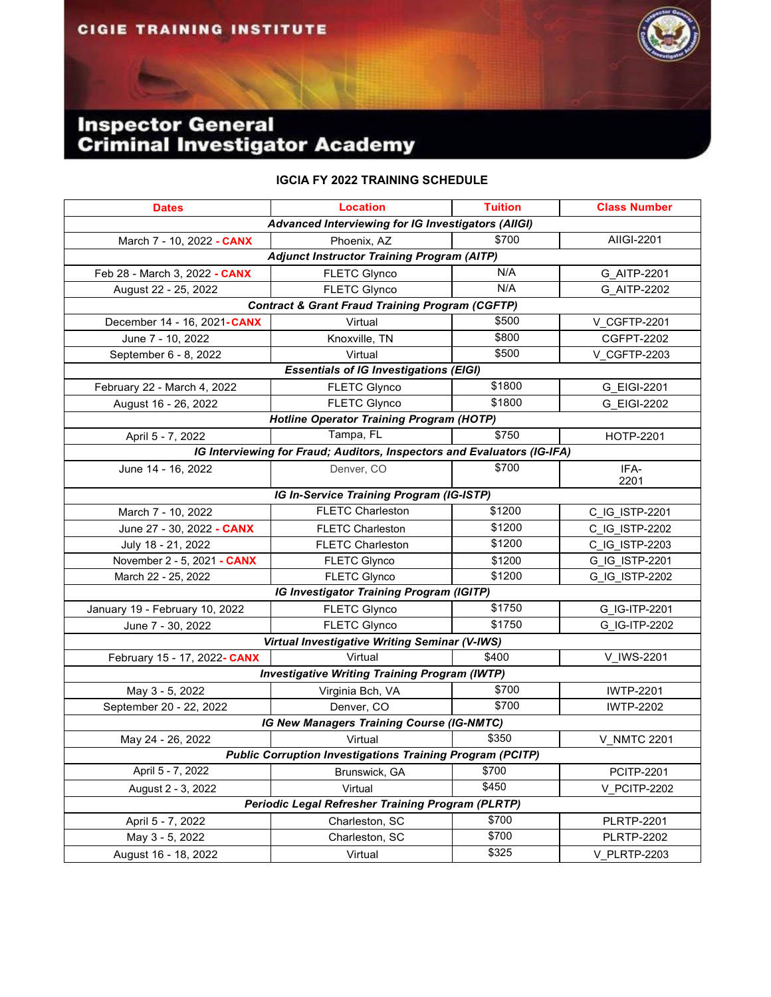## **Inspector General<br>Criminal Investigator Academy**

## **IGCIA FY 2022 TRAINING SCHEDULE**

| <b>Dates</b>                                                     | <b>Location</b>                                                         | <b>Tuition</b> | <b>Class Number</b> |  |  |
|------------------------------------------------------------------|-------------------------------------------------------------------------|----------------|---------------------|--|--|
| Advanced Interviewing for IG Investigators (AIIGI)               |                                                                         |                |                     |  |  |
| March 7 - 10, 2022 - CANX                                        | Phoenix, AZ                                                             | \$700          | AIIGI-2201          |  |  |
| <b>Adjunct Instructor Training Program (AITP)</b>                |                                                                         |                |                     |  |  |
| Feb 28 - March 3, 2022 - CANX                                    | <b>FLETC Glynco</b>                                                     | N/A            | G AITP-2201         |  |  |
| August 22 - 25, 2022                                             | <b>FLETC Glynco</b>                                                     | N/A            | G AITP-2202         |  |  |
| <b>Contract &amp; Grant Fraud Training Program (CGFTP)</b>       |                                                                         |                |                     |  |  |
| December 14 - 16, 2021-CANX                                      | Virtual                                                                 | \$500          | V_CGFTP-2201        |  |  |
| June 7 - 10, 2022                                                | Knoxville, TN                                                           | \$800          | <b>CGFPT-2202</b>   |  |  |
| September 6 - 8, 2022                                            | Virtual                                                                 | \$500          | V CGFTP-2203        |  |  |
| <b>Essentials of IG Investigations (EIGI)</b>                    |                                                                         |                |                     |  |  |
| February 22 - March 4, 2022                                      | <b>FLETC Glynco</b>                                                     | \$1800         | G_EIGI-2201         |  |  |
| August 16 - 26, 2022                                             | <b>FLETC Glynco</b>                                                     | \$1800         | G EIGI-2202         |  |  |
| <b>Hotline Operator Training Program (HOTP)</b>                  |                                                                         |                |                     |  |  |
| April 5 - 7, 2022                                                | Tampa, FL                                                               | \$750          | <b>HOTP-2201</b>    |  |  |
|                                                                  | IG Interviewing for Fraud; Auditors, Inspectors and Evaluators (IG-IFA) |                |                     |  |  |
| June 14 - 16, 2022                                               | Denver, CO                                                              | \$700          | IFA-                |  |  |
|                                                                  |                                                                         |                | 2201                |  |  |
|                                                                  | IG In-Service Training Program (IG-ISTP)                                |                |                     |  |  |
| March 7 - 10, 2022                                               | <b>FLETC Charleston</b>                                                 | \$1200         | C IG ISTP-2201      |  |  |
| June 27 - 30, 2022 - CANX                                        | <b>FLETC Charleston</b>                                                 | \$1200         | C IG ISTP-2202      |  |  |
| July 18 - 21, 2022                                               | <b>FLETC Charleston</b>                                                 | \$1200         | C IG ISTP-2203      |  |  |
| November 2 - 5, 2021 - CANX                                      | <b>FLETC Glynco</b>                                                     | \$1200         | G IG ISTP-2201      |  |  |
| March 22 - 25, 2022                                              | <b>FLETC Glynco</b>                                                     | \$1200         | G_IG_ISTP-2202      |  |  |
| <b>IG Investigator Training Program (IGITP)</b>                  |                                                                         |                |                     |  |  |
| January 19 - February 10, 2022                                   | <b>FLETC Glynco</b>                                                     | \$1750         | G_IG-ITP-2201       |  |  |
| June 7 - 30, 2022                                                | <b>FLETC Glynco</b>                                                     | \$1750         | G IG-ITP-2202       |  |  |
| Virtual Investigative Writing Seminar (V-IWS)                    |                                                                         |                |                     |  |  |
| February 15 - 17, 2022- CANX                                     | Virtual                                                                 | \$400          | V_IWS-2201          |  |  |
| <b>Investigative Writing Training Program (IWTP)</b>             |                                                                         |                |                     |  |  |
| May 3 - 5, 2022                                                  | Virginia Bch, VA                                                        | \$700          | <b>IWTP-2201</b>    |  |  |
| September 20 - 22, 2022                                          | Denver, CO                                                              | \$700          | <b>IWTP-2202</b>    |  |  |
| IG New Managers Training Course (IG-NMTC)                        |                                                                         |                |                     |  |  |
| May 24 - 26, 2022                                                | Virtual                                                                 | \$350          | <b>V NMTC 2201</b>  |  |  |
| <b>Public Corruption Investigations Training Program (PCITP)</b> |                                                                         |                |                     |  |  |
| April 5 - 7, 2022                                                | Brunswick, GA                                                           | \$700          | <b>PCITP-2201</b>   |  |  |
| August 2 - 3, 2022                                               | Virtual                                                                 | \$450          | V PCITP-2202        |  |  |
| <b>Periodic Legal Refresher Training Program (PLRTP)</b>         |                                                                         |                |                     |  |  |
| April 5 - 7, 2022                                                | Charleston, SC                                                          | \$700          | <b>PLRTP-2201</b>   |  |  |
| May 3 - 5, 2022                                                  | Charleston, SC                                                          | \$700          | <b>PLRTP-2202</b>   |  |  |
| August 16 - 18, 2022                                             | Virtual                                                                 | \$325          | <b>V PLRTP-2203</b> |  |  |